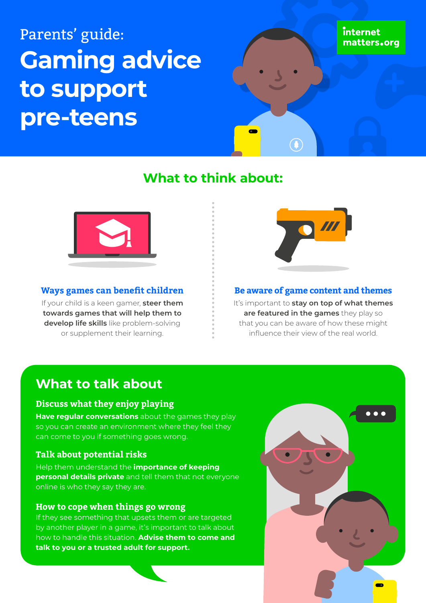# Parents' guide: **Gaming advice to support pre-teens**

## **What to think about:**



### **Ways games can benefit children**

If your child is a keen gamer, **steer them towards games that will help them to develop life skills** like problem-solving or supplement their learning.



### **Be aware of game content and themes**

It's important to **stay on top of what themes are featured in the games** they play so that you can be aware of how these might influence their view of the real world.

### **What to talk about**

### **Discuss what they enjoy playing**

**Have regular conversations** about the games they play so you can create an environment where they feel they can come to you if something goes wrong.

### **Talk about potential risks**

Help them understand the **importance of keeping personal details private** and tell them that not everyone online is who they say they are.

### **How to cope when things go wrong**

If they see something that upsets them or are targeted by another player in a game, it's important to talk about how to handle this situation. **Advise them to come and talk to you or a trusted adult for support.**